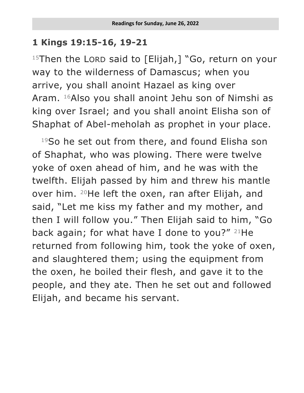## **1 Kings 19:15-16, 19-21**

 $15$ Then the LORD said to [Elijah,] "Go, return on your way to the wilderness of Damascus; when you arrive, you shall anoint Hazael as king over Aram. <sup>16</sup>Also you shall anoint Jehu son of Nimshi as king over Israel; and you shall anoint Elisha son of Shaphat of Abel-meholah as prophet in your place.

<sup>19</sup>So he set out from there, and found Elisha son of Shaphat, who was plowing. There were twelve yoke of oxen ahead of him, and he was with the twelfth. Elijah passed by him and threw his mantle over him. <sup>20</sup>He left the oxen, ran after Elijah, and said, "Let me kiss my father and my mother, and then I will follow you." Then Elijah said to him, "Go back again; for what have I done to you?"  $21$ He returned from following him, took the yoke of oxen, and slaughtered them; using the equipment from the oxen, he boiled their flesh, and gave it to the people, and they ate. Then he set out and followed Elijah, and became his servant.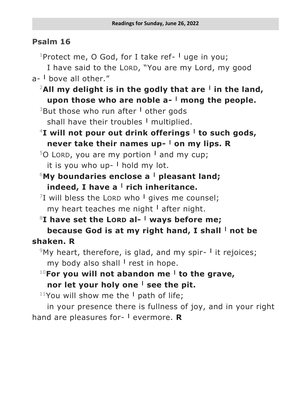## **Psalm 16**

<sup>1</sup>Protect me, O God, for I take ref- <sup>I</sup> uge in you;

I have said to the LORD, "You are my Lord, my good a- **<sup>|</sup>** bove all other."

<sup>2</sup>**All my delight is in the godly that are <sup>|</sup> in the land, upon those who are noble a- <sup>|</sup> mong the people.**

<sup>3</sup>But those who run after **<sup>|</sup>** other gods shall have their troubles **<sup>|</sup>** multiplied.

<sup>4</sup>**I will not pour out drink offerings <sup>|</sup> to such gods, never take their names up- <sup>|</sup> on my lips. R**

<sup>5</sup>O LORD, you are my portion **<sup>|</sup>** and my cup; it is you who up- **<sup>|</sup>** hold my lot.

- <sup>6</sup>**My boundaries enclose a <sup>|</sup> pleasant land; indeed, I have a <sup>|</sup> rich inheritance.**
- 7 I will bless the LORD who **<sup>|</sup>** gives me counsel; my heart teaches me night **<sup>|</sup>** after night.
- <sup>8</sup>**I have set the LORD al- <sup>|</sup> ways before me; because God is at my right hand, I shall <sup>|</sup> not be shaken. R**
	- <sup>9</sup>My heart, therefore, is glad, and my spir- <sup>I</sup> it rejoices; my body also shall **<sup>|</sup>** rest in hope.
	- <sup>10</sup>**For you will not abandon me <sup>|</sup> to the grave, nor let your holy one <sup>|</sup> see the pit.**

<sup>11</sup>You will show me the **<sup>|</sup>** path of life;

in your presence there is fullness of joy, and in your right hand are pleasures for- **<sup>|</sup>** evermore. **R**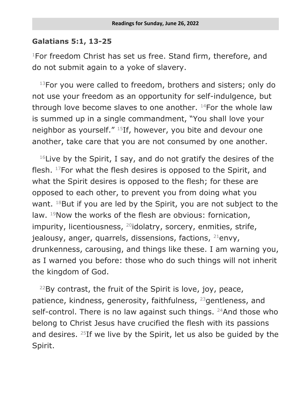## **Galatians 5:1, 13-25**

 $1$ For freedom Christ has set us free. Stand firm, therefore, and do not submit again to a yoke of slavery.

 $13$ For you were called to freedom, brothers and sisters; only do not use your freedom as an opportunity for self-indulgence, but through love become slaves to one another. <sup>14</sup>For the whole law is summed up in a single commandment, "You shall love your neighbor as yourself." 15If, however, you bite and devour one another, take care that you are not consumed by one another.

 $16$ Live by the Spirit, I say, and do not gratify the desires of the flesh. <sup>17</sup>For what the flesh desires is opposed to the Spirit, and what the Spirit desires is opposed to the flesh; for these are opposed to each other, to prevent you from doing what you want. <sup>18</sup>But if you are led by the Spirit, you are not subject to the law. <sup>19</sup>Now the works of the flesh are obvious: fornication, impurity, licentiousness, <sup>20</sup>idolatry, sorcery, enmities, strife, jealousy, anger, quarrels, dissensions, factions, <sup>21</sup>envy, drunkenness, carousing, and things like these. I am warning you, as I warned you before: those who do such things will not inherit the kingdom of God.

 $22$ By contrast, the fruit of the Spirit is love, joy, peace, patience, kindness, generosity, faithfulness, <sup>23</sup>gentleness, and self-control. There is no law against such things.  $24$ And those who belong to Christ Jesus have crucified the flesh with its passions and desires.  $25$ If we live by the Spirit, let us also be guided by the Spirit.